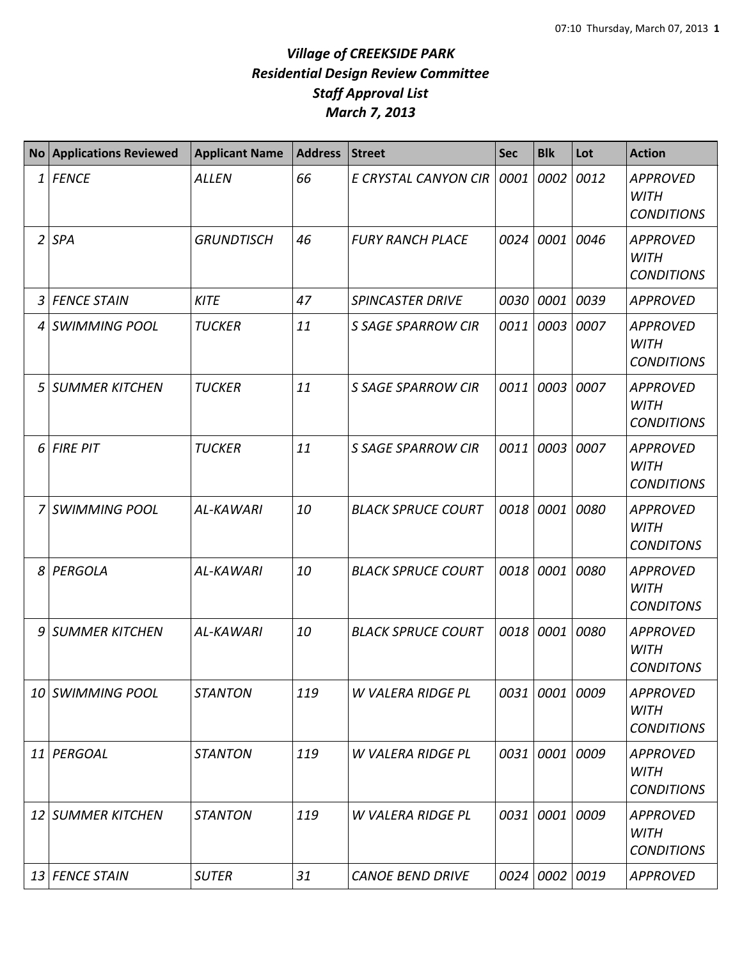| <b>No</b>      | <b>Applications Reviewed</b> | <b>Applicant Name</b> | <b>Address</b> | <b>Street</b>             | <b>Sec</b> | <b>Blk</b>     | Lot  | <b>Action</b>                                       |
|----------------|------------------------------|-----------------------|----------------|---------------------------|------------|----------------|------|-----------------------------------------------------|
| 1              | <b>FENCE</b>                 | <b>ALLEN</b>          | 66             | E CRYSTAL CANYON CIR      | 0001       | 0002           | 0012 | <b>APPROVED</b><br><b>WITH</b><br><b>CONDITIONS</b> |
| $\overline{2}$ | <b>SPA</b>                   | <b>GRUNDTISCH</b>     | 46             | <b>FURY RANCH PLACE</b>   |            | 0024 0001      | 0046 | <b>APPROVED</b><br><b>WITH</b><br><b>CONDITIONS</b> |
| 3              | <b>FENCE STAIN</b>           | <b>KITE</b>           | 47             | <b>SPINCASTER DRIVE</b>   | 0030       | 0001           | 0039 | <b>APPROVED</b>                                     |
| 4              | <b>SWIMMING POOL</b>         | <b>TUCKER</b>         | 11             | <b>S SAGE SPARROW CIR</b> | 0011       | 0003           | 0007 | <b>APPROVED</b><br><b>WITH</b><br><b>CONDITIONS</b> |
| 5              | <b>SUMMER KITCHEN</b>        | <b>TUCKER</b>         | 11             | <b>S SAGE SPARROW CIR</b> | 0011       | 0003           | 0007 | <b>APPROVED</b><br><b>WITH</b><br><b>CONDITIONS</b> |
| 6              | <b>FIRE PIT</b>              | <b>TUCKER</b>         | 11             | <b>S SAGE SPARROW CIR</b> | 0011       | 0003           | 0007 | <b>APPROVED</b><br><b>WITH</b><br><b>CONDITIONS</b> |
| 7              | <b>SWIMMING POOL</b>         | <b>AL-KAWARI</b>      | 10             | <b>BLACK SPRUCE COURT</b> |            | 0018 0001      | 0080 | <b>APPROVED</b><br><b>WITH</b><br><b>CONDITONS</b>  |
| 8              | PERGOLA                      | AL-KAWARI             | 10             | <b>BLACK SPRUCE COURT</b> |            | 0018 0001      | 0080 | <b>APPROVED</b><br><b>WITH</b><br><b>CONDITONS</b>  |
| 9              | <b>SUMMER KITCHEN</b>        | AL-KAWARI             | 10             | <b>BLACK SPRUCE COURT</b> | 0018       | 0001           | 0080 | <b>APPROVED</b><br><b>WITH</b><br><b>CONDITONS</b>  |
|                | 10 SWIMMING POOL             | <b>STANTON</b>        | 119            | W VALERA RIDGE PL         |            | 0031 0001      | 0009 | <b>APPROVED</b><br><b>WITH</b><br><b>CONDITIONS</b> |
|                | 11 PERGOAL                   | <b>STANTON</b>        | 119            | W VALERA RIDGE PL         |            | 0031 0001      | 0009 | <b>APPROVED</b><br><b>WITH</b><br><b>CONDITIONS</b> |
|                | 12 SUMMER KITCHEN            | <b>STANTON</b>        | 119            | W VALERA RIDGE PL         |            | 0031 0001      | 0009 | <b>APPROVED</b><br><b>WITH</b><br><b>CONDITIONS</b> |
|                | 13 FENCE STAIN               | <b>SUTER</b>          | 31             | <b>CANOE BEND DRIVE</b>   |            | 0024 0002 0019 |      | <b>APPROVED</b>                                     |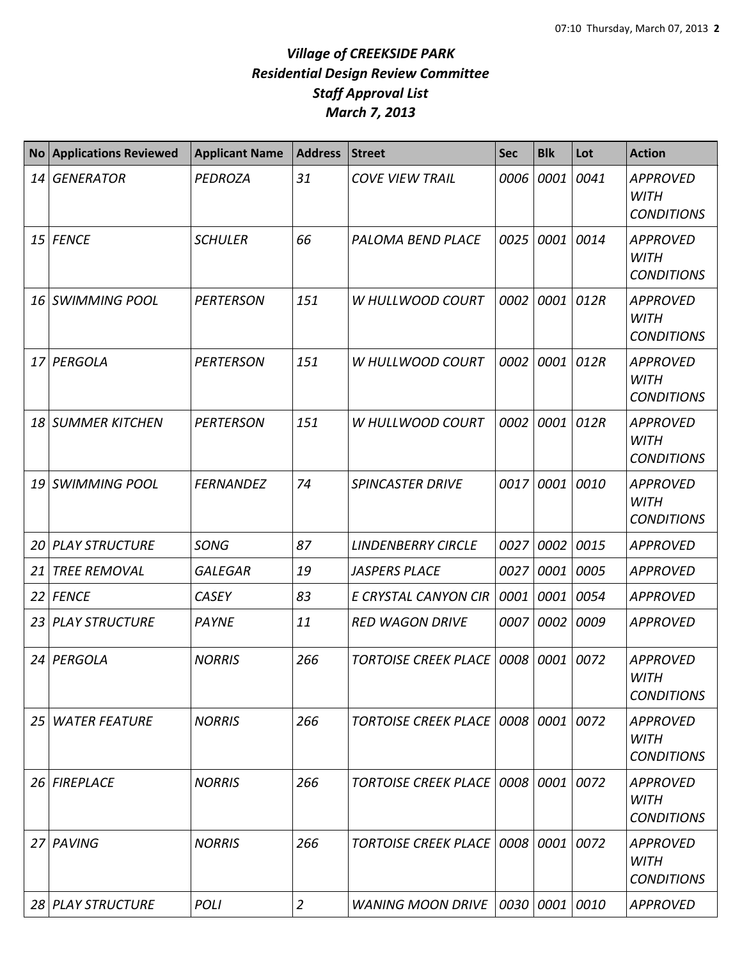| <b>No</b> | <b>Applications Reviewed</b> | <b>Applicant Name</b> | <b>Address</b> | <b>Street</b>                        | <b>Sec</b> | <b>Blk</b> | Lot  | <b>Action</b>                                       |
|-----------|------------------------------|-----------------------|----------------|--------------------------------------|------------|------------|------|-----------------------------------------------------|
| 14        | <b>GENERATOR</b>             | <b>PEDROZA</b>        | 31             | <b>COVE VIEW TRAIL</b>               | 0006       | 0001       | 0041 | <b>APPROVED</b><br><b>WITH</b><br><b>CONDITIONS</b> |
|           | 15 FENCE                     | <b>SCHULER</b>        | 66             | PALOMA BEND PLACE                    | 0025       | 0001       | 0014 | <b>APPROVED</b><br><b>WITH</b><br><b>CONDITIONS</b> |
| 16        | <b>SWIMMING POOL</b>         | <b>PERTERSON</b>      | 151            | W HULLWOOD COURT                     | 0002       | 0001       | 012R | <b>APPROVED</b><br><b>WITH</b><br><b>CONDITIONS</b> |
| 17        | PERGOLA                      | <b>PERTERSON</b>      | 151            | W HULLWOOD COURT                     | 0002       | 0001       | 012R | <b>APPROVED</b><br><b>WITH</b><br><b>CONDITIONS</b> |
| 18        | <b>SUMMER KITCHEN</b>        | <b>PERTERSON</b>      | 151            | W HULLWOOD COURT                     | 0002       | 0001       | 012R | <b>APPROVED</b><br><b>WITH</b><br><b>CONDITIONS</b> |
| 19        | <b>SWIMMING POOL</b>         | <b>FERNANDEZ</b>      | 74             | <b>SPINCASTER DRIVE</b>              | 0017       | 0001       | 0010 | <b>APPROVED</b><br><b>WITH</b><br><b>CONDITIONS</b> |
| 20        | <b>PLAY STRUCTURE</b>        | <b>SONG</b>           | 87             | <b>LINDENBERRY CIRCLE</b>            | 0027       | 0002       | 0015 | <b>APPROVED</b>                                     |
| 21        | <b>TREE REMOVAL</b>          | <b>GALEGAR</b>        | 19             | <b>JASPERS PLACE</b>                 | 0027       | 0001       | 0005 | <b>APPROVED</b>                                     |
| 22        | <b>FENCE</b>                 | <b>CASEY</b>          | 83             | E CRYSTAL CANYON CIR                 | 0001       | 0001       | 0054 | <b>APPROVED</b>                                     |
| 23        | <b>PLAY STRUCTURE</b>        | <b>PAYNE</b>          | 11             | <b>RED WAGON DRIVE</b>               | 0007       | 0002       | 0009 | <b>APPROVED</b>                                     |
| 24        | PERGOLA                      | <b>NORRIS</b>         | 266            | <b>TORTOISE CREEK PLACE</b>          | 0008       | 0001       | 0072 | <b>APPROVED</b><br><b>WITH</b><br><b>CONDITIONS</b> |
| 25        | <b>WATER FEATURE</b>         | <b>NORRIS</b>         | 266            | TORTOISE CREEK PLACE   0008   0001   |            |            | 0072 | <b>APPROVED</b><br><b>WITH</b><br><b>CONDITIONS</b> |
| 26        | <b>FIREPLACE</b>             | <b>NORRIS</b>         | 266            | <b>TORTOISE CREEK PLACE 0008</b>     |            | 0001       | 0072 | <b>APPROVED</b><br><b>WITH</b><br><b>CONDITIONS</b> |
|           | 27 PAVING                    | <b>NORRIS</b>         | 266            | <b>TORTOISE CREEK PLACE   0008  </b> |            | 0001       | 0072 | <b>APPROVED</b><br>WITH<br><b>CONDITIONS</b>        |
|           | 28 PLAY STRUCTURE            | <b>POLI</b>           | $\overline{2}$ | <b>WANING MOON DRIVE</b>             | 0030 0001  |            | 0010 | <b>APPROVED</b>                                     |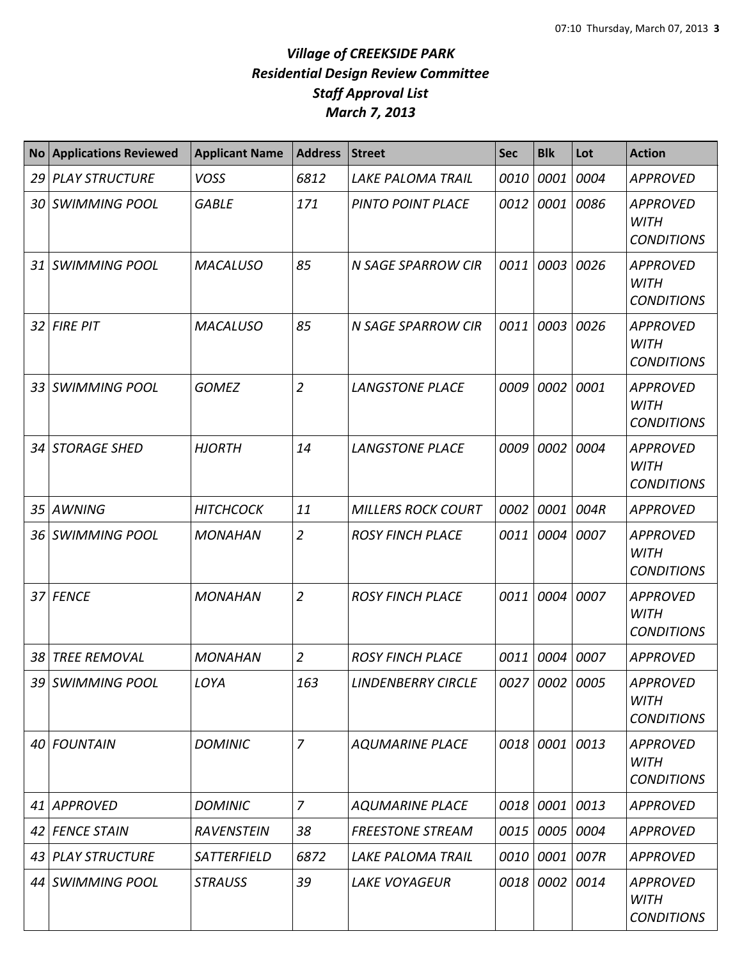|                 | No Applications Reviewed | <b>Applicant Name</b> | <b>Address</b> | <b>Street</b>             | <b>Sec</b> | <b>Blk</b>     | Lot  | <b>Action</b>                                       |
|-----------------|--------------------------|-----------------------|----------------|---------------------------|------------|----------------|------|-----------------------------------------------------|
| 29              | <b>PLAY STRUCTURE</b>    | <b>VOSS</b>           | 6812           | <b>LAKE PALOMA TRAIL</b>  | 0010       | 0001           | 0004 | <b>APPROVED</b>                                     |
|                 | 30 SWIMMING POOL         | <b>GABLE</b>          | 171            | PINTO POINT PLACE         | 0012       | 0001           | 0086 | <b>APPROVED</b><br><b>WITH</b><br><b>CONDITIONS</b> |
|                 | 31 SWIMMING POOL         | <b>MACALUSO</b>       | 85             | N SAGE SPARROW CIR        | 0011       | 0003 0026      |      | <b>APPROVED</b><br><b>WITH</b><br><b>CONDITIONS</b> |
|                 | 32 FIRE PIT              | <b>MACALUSO</b>       | 85             | <b>N SAGE SPARROW CIR</b> |            | 0011 0003 0026 |      | <b>APPROVED</b><br><b>WITH</b><br><b>CONDITIONS</b> |
|                 | 33 SWIMMING POOL         | <b>GOMEZ</b>          | $\overline{2}$ | <b>LANGSTONE PLACE</b>    |            | 0009 0002      | 0001 | <b>APPROVED</b><br><b>WITH</b><br><b>CONDITIONS</b> |
| 34 I            | <b>STORAGE SHED</b>      | <b>HJORTH</b>         | 14             | <b>LANGSTONE PLACE</b>    | 0009       | 0002           | 0004 | <b>APPROVED</b><br><b>WITH</b><br><b>CONDITIONS</b> |
| 35 <sub>l</sub> | <b>AWNING</b>            | <b>HITCHCOCK</b>      | 11             | <b>MILLERS ROCK COURT</b> | 0002       | 0001           | 004R | <b>APPROVED</b>                                     |
| 36 <sup>1</sup> | <b>SWIMMING POOL</b>     | <b>MONAHAN</b>        | $\overline{2}$ | <b>ROSY FINCH PLACE</b>   | 0011       | 0004           | 0007 | <b>APPROVED</b><br><b>WITH</b><br><b>CONDITIONS</b> |
|                 | 37 FENCE                 | <b>MONAHAN</b>        | $\overline{2}$ | <b>ROSY FINCH PLACE</b>   |            | 0011 0004 0007 |      | <b>APPROVED</b><br><b>WITH</b><br><b>CONDITIONS</b> |
| 38 I            | <b>TREE REMOVAL</b>      | <b>MONAHAN</b>        | $\overline{2}$ | <b>ROSY FINCH PLACE</b>   |            | 0011 0004 0007 |      | <b>APPROVED</b>                                     |
|                 | 39 SWIMMING POOL         | LOYA                  | 163            | <b>LINDENBERRY CIRCLE</b> |            | 0027 0002 0005 |      | <b>APPROVED</b><br><b>WITH</b><br><b>CONDITIONS</b> |
|                 | 40 FOUNTAIN              | <b>DOMINIC</b>        | $\overline{7}$ | <b>AQUMARINE PLACE</b>    |            | 0018 0001 0013 |      | <b>APPROVED</b><br><b>WITH</b><br><b>CONDITIONS</b> |
|                 | 41 APPROVED              | <b>DOMINIC</b>        | $\overline{7}$ | <b>AQUMARINE PLACE</b>    |            | 0018 0001 0013 |      | <b>APPROVED</b>                                     |
|                 | 42 FENCE STAIN           | <b>RAVENSTEIN</b>     | 38             | <b>FREESTONE STREAM</b>   |            | 0015 0005 0004 |      | <b>APPROVED</b>                                     |
|                 | 43 PLAY STRUCTURE        | SATTERFIELD           | 6872           | <b>LAKE PALOMA TRAIL</b>  |            | 0010 0001 007R |      | <b>APPROVED</b>                                     |
|                 | 44 SWIMMING POOL         | <b>STRAUSS</b>        | 39             | <b>LAKE VOYAGEUR</b>      |            | 0018 0002 0014 |      | <b>APPROVED</b><br><b>WITH</b><br><b>CONDITIONS</b> |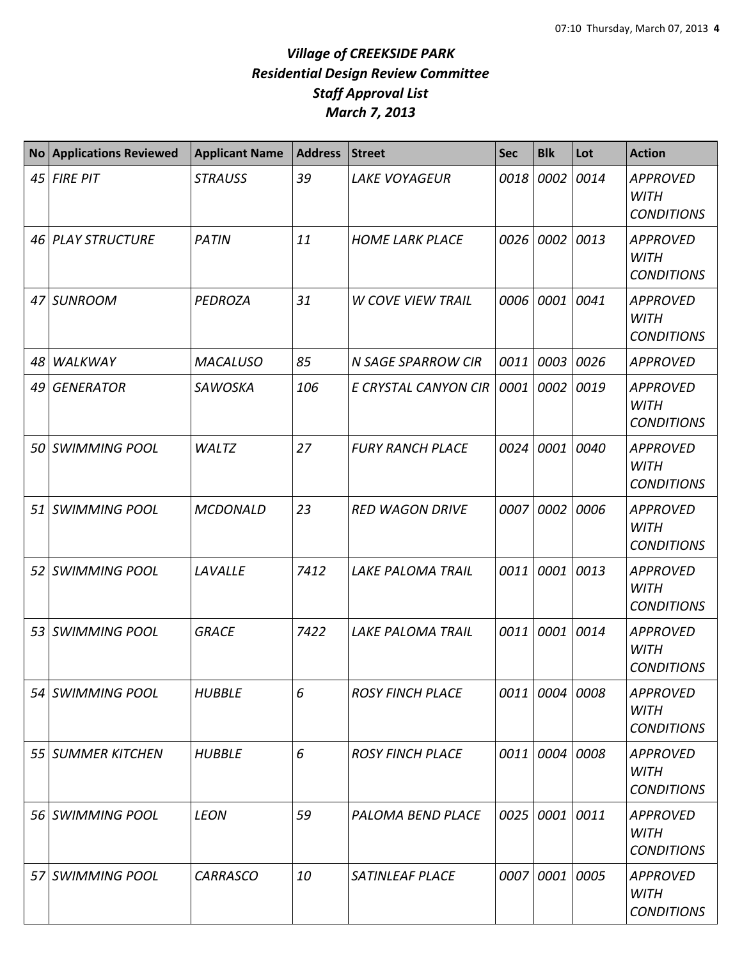| <b>No</b>       | <b>Applications Reviewed</b> | <b>Applicant Name</b> | <b>Address</b> | <b>Street</b>            | <b>Sec</b> | <b>Blk</b>     | Lot  | <b>Action</b>                                       |
|-----------------|------------------------------|-----------------------|----------------|--------------------------|------------|----------------|------|-----------------------------------------------------|
| 45              | <b>FIRE PIT</b>              | <b>STRAUSS</b>        | 39             | <b>LAKE VOYAGEUR</b>     | 0018       | 0002 0014      |      | <b>APPROVED</b><br><b>WITH</b><br><b>CONDITIONS</b> |
|                 | 46 PLAY STRUCTURE            | <b>PATIN</b>          | 11             | <b>HOME LARK PLACE</b>   | 0026       | 0002 0013      |      | <b>APPROVED</b><br><b>WITH</b><br><b>CONDITIONS</b> |
|                 | 47 SUNROOM                   | PEDROZA               | 31             | <b>W COVE VIEW TRAIL</b> | 0006       | 0001           | 0041 | <b>APPROVED</b><br><b>WITH</b><br><b>CONDITIONS</b> |
| 48              | <b>WALKWAY</b>               | <b>MACALUSO</b>       | 85             | N SAGE SPARROW CIR       | 0011       | 0003           | 0026 | <b>APPROVED</b>                                     |
| 49              | <b>GENERATOR</b>             | <b>SAWOSKA</b>        | 106            | E CRYSTAL CANYON CIR     | 0001       | 0002           | 0019 | <b>APPROVED</b><br><b>WITH</b><br><b>CONDITIONS</b> |
| 50              | <b>SWIMMING POOL</b>         | <b>WALTZ</b>          | 27             | <b>FURY RANCH PLACE</b>  | 0024       | 0001           | 0040 | <b>APPROVED</b><br><b>WITH</b><br><b>CONDITIONS</b> |
|                 | 51 SWIMMING POOL             | <b>MCDONALD</b>       | 23             | <b>RED WAGON DRIVE</b>   | 0007       | 0002           | 0006 | <b>APPROVED</b><br><b>WITH</b><br><b>CONDITIONS</b> |
| 52 <sub>1</sub> | <b>SWIMMING POOL</b>         | LAVALLE               | 7412           | LAKE PALOMA TRAIL        | 0011       | 0001 0013      |      | <b>APPROVED</b><br><b>WITH</b><br><b>CONDITIONS</b> |
|                 | 53 SWIMMING POOL             | <b>GRACE</b>          | 7422           | <b>LAKE PALOMA TRAIL</b> | 0011       | 0001 0014      |      | <b>APPROVED</b><br><b>WITH</b><br><b>CONDITIONS</b> |
|                 | 54 SWIMMING POOL             | <b>HUBBLE</b>         | 6              | <b>ROSY FINCH PLACE</b>  | 0011       | 0004 0008      |      | <b>APPROVED</b><br><b>WITH</b><br><b>CONDITIONS</b> |
|                 | 55 SUMMER KITCHEN            | <b>HUBBLE</b>         | 6              | <b>ROSY FINCH PLACE</b>  | 0011       | 0004 0008      |      | <b>APPROVED</b><br><b>WITH</b><br><b>CONDITIONS</b> |
|                 | 56 SWIMMING POOL             | <b>LEON</b>           | 59             | <b>PALOMA BEND PLACE</b> | 0025       | 0001 0011      |      | <b>APPROVED</b><br><b>WITH</b><br><b>CONDITIONS</b> |
|                 | 57 SWIMMING POOL             | <b>CARRASCO</b>       | 10             | SATINLEAF PLACE          |            | 0007 0001 0005 |      | <b>APPROVED</b><br><b>WITH</b><br><b>CONDITIONS</b> |